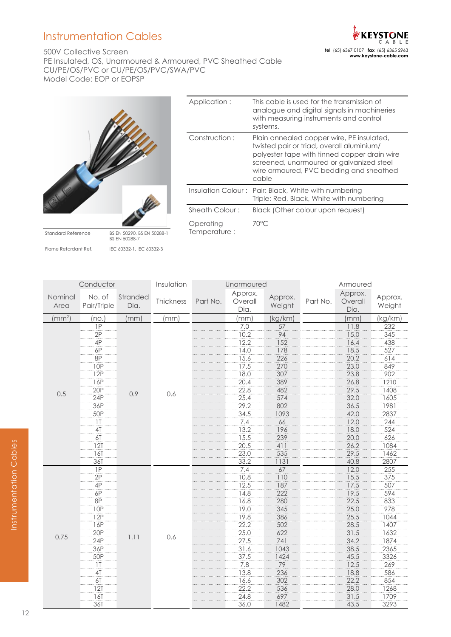# Instrumentation Cables

500V Collective Screen PE Insulated, OS, Unarmoured & Armoured, PVC Sheathed Cable CU/PE/OS/PVC or CU/PE/OS/PVC/SWA/PVC Model Code: EOP or EOPSP



| Application:              | This cable is used for the transmission of<br>analogue and digital signals in machineries<br>with measuring instruments and control<br>systems.                                                                                        |
|---------------------------|----------------------------------------------------------------------------------------------------------------------------------------------------------------------------------------------------------------------------------------|
| Construction:             | Plain annealed copper wire, PE insulated,<br>twisted pair or triad, overall aluminium/<br>polyester tape with tinned copper drain wire<br>screened, unarmoured or galvanized steel<br>wire armoured, PVC bedding and sheathed<br>cable |
|                           | Insulation Colour: Pair: Black, White with numbering<br>Triple: Red, Black, White with numbering                                                                                                                                       |
| Sheath Colour:            | Black (Other colour upon request)                                                                                                                                                                                                      |
| Operating<br>Temperature: | 70°C                                                                                                                                                                                                                                   |
|                           |                                                                                                                                                                                                                                        |

| Conductor          |                       | Insulation       | Unarmoured |          |                            | Armoured          |          |                            |                   |
|--------------------|-----------------------|------------------|------------|----------|----------------------------|-------------------|----------|----------------------------|-------------------|
| Nominal<br>Area    | No. of<br>Pair/Triple | Stranded<br>Dia. | Thickness  | Part No. | Approx.<br>Overall<br>Dia. | Approx.<br>Weight | Part No. | Approx.<br>Overall<br>Dia. | Approx.<br>Weight |
| (mm <sup>2</sup> ) | (no.)                 | (mm)             | (mm)       |          | (mm)                       | (kg/km)           |          | (mm)                       | (kg/km)           |
|                    | $\overline{IP}$       |                  |            |          | 7.0                        | 57                |          | 11.8                       | 232               |
|                    | 2P                    |                  |            |          | 10.2                       | 94                |          | 15.0                       | 345               |
|                    | 4P                    |                  |            |          | 12.2                       | 152               |          | 16.4                       | 438               |
|                    | 6P                    |                  |            |          | 14.0                       | 178               |          | 18.5                       | 527               |
|                    | 8P                    |                  |            |          | 15.6                       | 226               |          | 20.2                       | 614               |
|                    | <b>10P</b>            |                  |            |          | 17.5                       | 270               |          | 23.0                       | 849               |
|                    | 12P                   |                  |            |          | 18.0                       | 307               |          | 23.8                       | 902               |
|                    | 16P                   |                  |            |          | 20.4                       | 389               |          | 26.8                       | 1210              |
|                    | 20P                   |                  |            |          | 22.8                       | 482               |          | 29.5                       | 1408              |
| 0.5                | 24P                   | 0.9              | 0.6        |          | 25.4                       | 574               |          | 32.0                       | 1605              |
|                    | 36P                   |                  |            |          | 29.2                       | 802               |          | 36.5                       | 1981              |
|                    | 50P                   |                  |            |          | 34.5                       | 1093              |          | 42.0                       | 2837              |
|                    | 1 <sup>T</sup>        |                  |            |          | 7.4                        | 66                |          | 12.0                       | 244               |
|                    | 4T                    |                  |            |          | 13.2                       | 196               |          | 18.0                       | 524               |
|                    | 6T                    |                  |            |          | 15.5                       | 239               |          | 20.0                       | 626               |
|                    | 12T                   |                  |            |          | 20.5                       | 411               |          | 26.2                       | 1084              |
|                    | 16T                   |                  |            |          | 23.0                       | 535               |          | 29.5                       | 1462              |
|                    | 36T                   |                  |            |          | 33.2                       | 1131              |          | 40.8                       | 2807              |
|                    | 1P                    |                  |            |          | 7.4                        | 67                |          | 12.0                       | 255               |
|                    | 2P                    |                  |            |          | 10.8                       | 110               |          | 15.5                       | 375               |
|                    | $\overline{4P}$       |                  |            |          | 12.5                       | 187               |          | 17.5                       | 507               |
|                    | 6P                    |                  |            |          | 14.8                       | 222               |          | 19.5                       | 594               |
|                    | <b>8P</b>             |                  |            |          | 16.8                       | 280               |          | 22.5                       | 833               |
|                    | <b>10P</b>            |                  |            |          | 19.0                       | 345               |          | 25.0                       | 978               |
|                    | 12P                   |                  |            |          | 19.8                       | 386               |          | 25.5                       | 1044              |
|                    | 16P                   |                  |            |          | 22.2                       | 502               |          | 28.5                       | 1407              |
|                    | 20P                   |                  |            |          | 25.0                       | 622               |          | 31.5                       | 1632              |
| 0.75               | 24P                   | 1.11             | 0.6        |          | 27.5                       | 741               |          | 34.2                       | 1874              |
|                    | 36P                   |                  |            |          | 31.6                       | 1043              |          | 38.5                       | 2365              |
|                    | 50P                   |                  |            |          | 37.5                       | 1424              |          | 45.5                       | 3326              |
|                    | 1 <sup>T</sup>        |                  |            |          | 7.8                        | 79                |          | 12.5                       | 269               |
|                    | 4 <sub>T</sub>        |                  |            |          | 13.8                       | 236               |          | 18.8                       | 586               |
|                    | 6T                    |                  |            |          | 16.6                       | 302               |          | 22.2                       | 854               |
|                    | 12T                   |                  |            |          | 22.2                       | 536               |          | 28.0                       | 1268              |
|                    | 16T                   |                  |            |          | 24.8                       | 697               |          | 31.5                       | 1709              |
|                    | 36T                   |                  |            |          | 36.0                       | 1482              |          | 43.5                       | 3293              |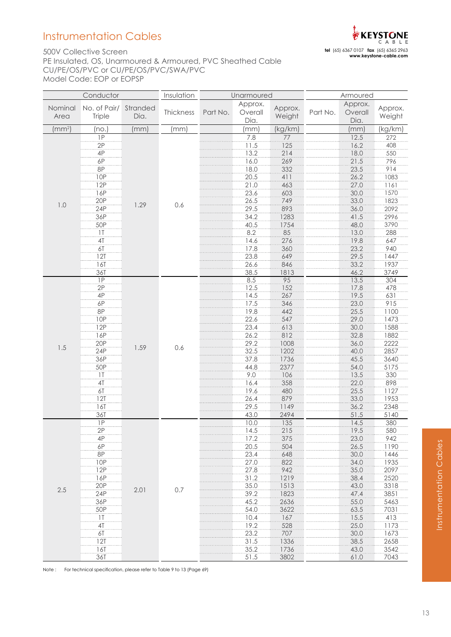# Instrumentation Cables

## 500V Collective Screen PE Insulated, OS, Unarmoured & Armoured, PVC Sheathed Cable CU/PE/OS/PVC or CU/PE/OS/PVC/SWA/PVC Model Code: EOP or EOPSP

|                            | Conductor               |                  | Insulation | Unarmoured |                            | Armoured          |          |                            |                   |
|----------------------------|-------------------------|------------------|------------|------------|----------------------------|-------------------|----------|----------------------------|-------------------|
| Nominal<br>Area            | No. of Pair/<br>Triple  | Stranded<br>Dia. | Thickness  | Part No.   | Approx.<br>Overall<br>Dia. | Approx.<br>Weight | Part No. | Approx.<br>Overall<br>Dia. | Approx.<br>Weight |
| $\left(\text{mm}^2\right)$ | (no.                    | (mm)             | (mm)       |            | (mm)                       | (kg/km)           |          | (mm)                       | (kg/km)           |
|                            | 1P                      |                  |            |            | 7.8                        | 77                |          | 12.5                       | 272               |
|                            | 2P                      |                  |            |            | 11.5                       | 125               |          | 16.2                       | 408               |
|                            | 4P                      |                  |            |            | 13.2                       | 214               |          | 18.0                       | 550               |
|                            | 6P                      |                  |            |            | 16.0                       | 269               |          | 21.5                       | 796               |
|                            | 8P                      |                  |            |            | 18.0                       | 332               |          | 23.5                       | 914               |
|                            | 10P                     |                  |            |            | 20.5                       | 411               |          | 26.2                       | 1083              |
|                            | 12P                     |                  |            |            | 21.0                       | 463               |          | 27.0                       | 1161              |
|                            | 16P                     |                  |            |            | 23.6                       | 603               |          | 30.0                       | 1570              |
| 1.0                        | 20P<br>24P              | 1.29             | 0.6        |            | 26.5                       | 749<br>893        |          | 33.0                       | 1823              |
|                            | 36P                     |                  |            |            | 29.5<br>34.2               | 1283              |          | 36.0<br>41.5               | 2092<br>2996      |
|                            | <b>50P</b>              |                  |            |            | 40.5                       | 1754              |          | 48.0                       | 3790              |
|                            | 1T                      |                  |            |            | 8.2                        | 85                |          | 13.0                       | 288               |
|                            | 4T                      |                  |            |            | 14.6                       | 276               |          | 19.8                       | 647               |
|                            | 6T                      |                  |            |            | 17.8                       | 360               |          | 23.2                       | 940               |
|                            | $\overline{121}$        |                  |            |            | 23.8                       | 649               |          | 29.5                       | 1447              |
|                            | 16T                     |                  |            |            | 26.6                       | 846               |          | 33.2                       | 1937              |
|                            | 36T                     |                  |            |            | 38.5                       | 1813              |          | 46.2                       | 3749              |
|                            | $\overline{IP}$         |                  |            |            | 8.5                        | $\overline{95}$   |          | 13.5                       | 304               |
|                            | 2P                      |                  |            |            | 12.5                       | 152               |          | 17.8                       | 478               |
|                            | 4P                      |                  |            |            | 14.5                       | 267               |          | 19.5                       | 631               |
|                            | $6\mathsf{P}$           |                  |            |            | 17.5                       | 346               |          | 23.0                       | 915               |
|                            | 8P                      |                  |            |            | 19.8                       | 442               |          | 25.5                       | 1100              |
|                            | <b>10P</b>              |                  |            |            | 22.6                       | 547               |          | 29.0                       | 1473              |
|                            | 12P                     |                  |            |            | 23.4                       | 613               |          | 30.0                       | 1588              |
|                            | 16P                     |                  |            |            | 26.2                       | 812               |          | 32.8                       | 1882              |
| 1.5                        | 20P<br>24P              | 1.59             | 0.6        |            | 29.2                       | 1008<br>1202      |          | 36.0                       | 2222<br>2857      |
|                            | 36P                     |                  |            |            | 32.5<br>37.8               | 1736              |          | 40.0<br>45.5               |                   |
|                            | 50P                     |                  |            |            | 44.8                       | 2377              |          | 54.0                       | 3640<br>5175      |
|                            | 1T                      |                  |            |            | 9.0                        | 106               |          | 13.5                       | 330               |
|                            | 4T                      |                  |            |            | 16.4                       | 358               |          | 22.0                       | 898               |
|                            | 6T                      |                  |            |            | 19.6                       | 480               |          | 25.5                       | 1127              |
|                            | 12T                     |                  |            |            | 26.4                       | 879               |          | 33.0                       | 1953              |
|                            | 16T                     |                  |            |            | 29.5                       | 1149              |          | 36.2                       | 2348              |
|                            | 36T                     |                  |            |            | 43.0                       | 2494              |          | 51.5                       | 5140              |
|                            | 1P                      |                  |            |            | 10.0                       | 135               |          | 14.5                       | 380               |
|                            | 2P                      |                  |            |            | 14.5                       | 215               |          | 19.5                       | 580               |
|                            | 4P                      |                  |            |            | 17.2                       | 375               |          | 23.0                       | 942               |
|                            | 6P                      |                  |            |            | 20.5                       | 504               |          | 26.5                       | 1190              |
|                            | 8P                      |                  |            |            | 23.4                       | 648               |          | 30.0                       | 1446              |
|                            | 10P                     |                  |            |            | 27.0                       | 822               |          | 34.0                       | 1935              |
|                            | 12P                     |                  |            |            | 27.8                       | 942               |          | 35.0                       | 2097              |
|                            | 16P                     |                  |            |            | 31.2                       | 1219              |          | 38.4                       | 2520              |
| 2.5                        | 20P<br>24P              | 2.01             | 0.7        |            | 35.0<br>39.2               | 1513<br>1823      |          | 43.0<br>47.4               | 3318<br>3851      |
|                            | 36P                     |                  |            |            | 45.2                       | 2636              |          | 55.0                       | 5463              |
|                            | 50P                     |                  |            |            | 54.0                       | 3622              |          | 63.5                       | 7031              |
|                            | $\overline{\mathbf{I}}$ |                  |            |            | 10.4                       | 167               |          | 15.5                       | 413               |
|                            | 4I                      |                  |            |            | 19.2                       | 528               |          | 25.0                       | 1173              |
|                            | 6T                      |                  |            |            | 23.2                       | 707               |          | 30.0                       | 1673              |
|                            | 12T                     |                  |            |            | 31.5                       | 1336              |          | 38.5                       | 2658              |
|                            | 16T                     |                  |            |            | 35.2                       | 1736              |          | 43.0                       | 3542              |
|                            | 36T                     |                  |            |            | 51.5                       | 3802              |          | 61.0                       | 7043              |

Note : For technical specification, please refer to Table 9 to 13 (Page 69)